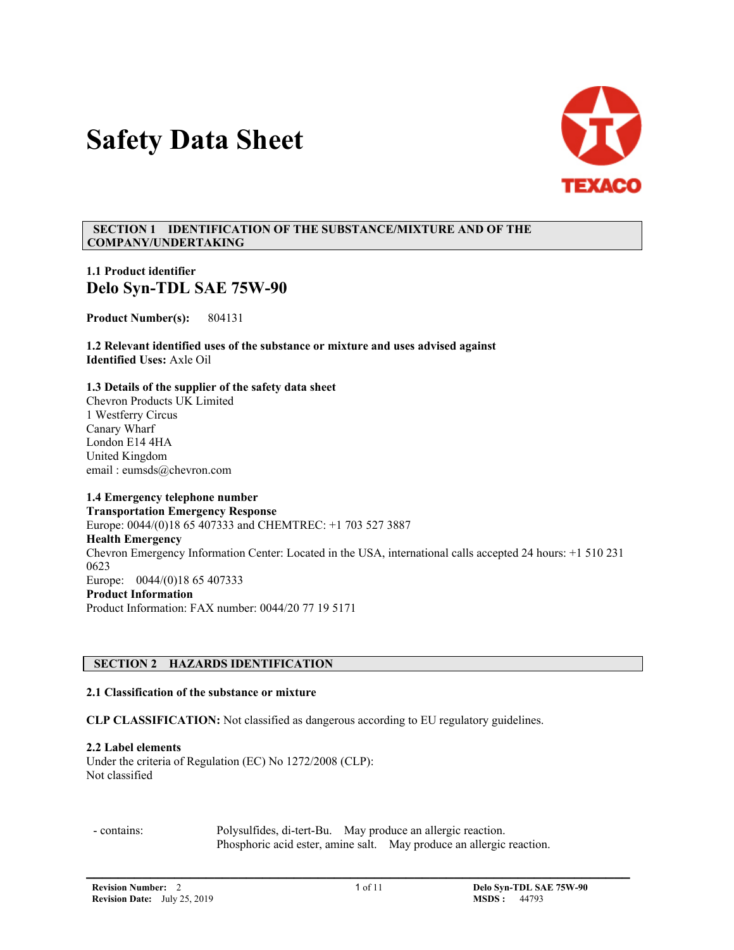# **Safety Data Sheet**



## **SECTION 1 IDENTIFICATION OF THE SUBSTANCE/MIXTURE AND OF THE COMPANY/UNDERTAKING**

# **1.1 Product identifier Delo Syn-TDL SAE 75W-90**

**Product Number(s):** 804131

**1.2 Relevant identified uses of the substance or mixture and uses advised against Identified Uses:** Axle Oil

**1.3 Details of the supplier of the safety data sheet** Chevron Products UK Limited 1 Westferry Circus Canary Wharf London E14 4HA United Kingdom email : eumsds@chevron.com

# **1.4 Emergency telephone number**

**Transportation Emergency Response** Europe: 0044/(0)18 65 407333 and CHEMTREC: +1 703 527 3887 **Health Emergency** Chevron Emergency Information Center: Located in the USA, international calls accepted 24 hours: +1 510 231 0623 Europe: 0044/(0)18 65 407333 **Product Information**  Product Information: FAX number: 0044/20 77 19 5171

# **SECTION 2 HAZARDS IDENTIFICATION**

# **2.1 Classification of the substance or mixture**

**CLP CLASSIFICATION:** Not classified as dangerous according to EU regulatory guidelines.

#### **2.2 Label elements**

Under the criteria of Regulation (EC) No 1272/2008 (CLP): Not classified

 - contains: Polysulfides, di-tert-Bu. May produce an allergic reaction. Phosphoric acid ester, amine salt. May produce an allergic reaction.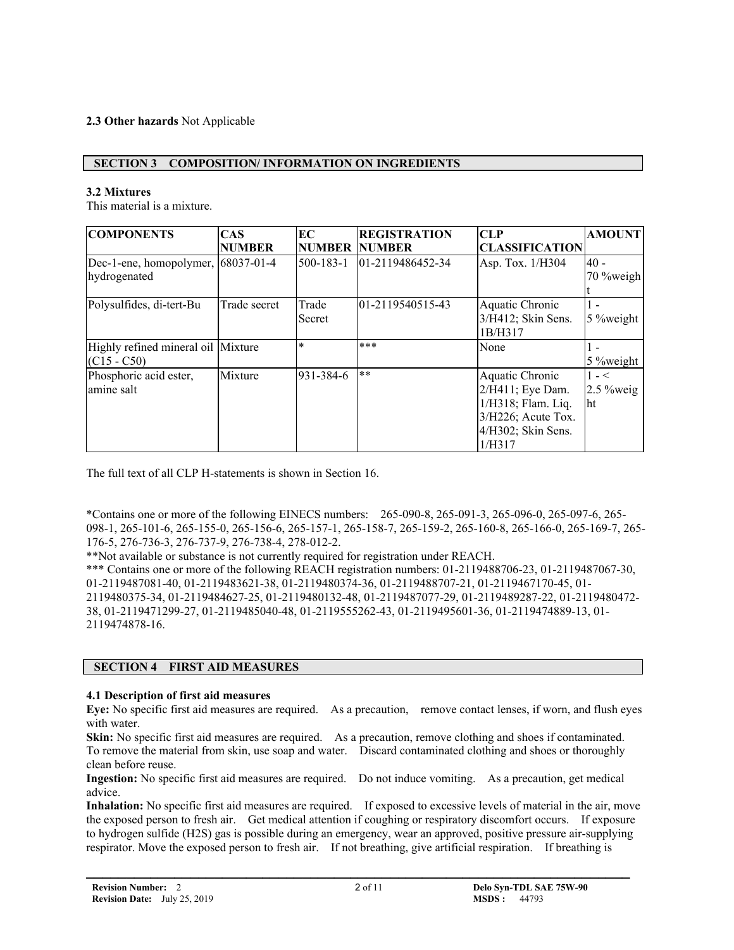# **2.3 Other hazards** Not Applicable

## **SECTION 3 COMPOSITION/ INFORMATION ON INGREDIENTS**

#### **3.2 Mixtures**

This material is a mixture.

| <b>COMPONENTS</b>                  | <b>CAS</b>    | EC                   | <b>REGISTRATION</b> | CLP                   | <b>AMOUNT</b> |
|------------------------------------|---------------|----------------------|---------------------|-----------------------|---------------|
|                                    | <b>NUMBER</b> | <b>NUMBER NUMBER</b> |                     | <b>CLASSIFICATION</b> |               |
| Dec-1-ene, homopolymer, 68037-01-4 |               | $500 - 183 - 1$      | 01-2119486452-34    | Asp. Tox. 1/H304      | l40 -         |
| hydrogenated                       |               |                      |                     |                       | $70\%$ weigh  |
|                                    |               |                      |                     |                       |               |
| Polysulfides, di-tert-Bu           | Trade secret  | Trade                | 01-2119540515-43    | Aquatic Chronic       |               |
|                                    |               | Secret               |                     | 3/H412; Skin Sens.    | $5$ % weight  |
|                                    |               |                      |                     | 1B/H317               |               |
| Highly refined mineral oil Mixture |               | $\ast$               | $***$               | None                  | ı –           |
| $(C15 - C50)$                      |               |                      |                     |                       | $5\%$ weight  |
| Phosphoric acid ester,             | Mixture       | 931-384-6            | $***$               | Aquatic Chronic       | $1 - 5$       |
| amine salt                         |               |                      |                     | 2/H411; Eye Dam.      | $2.5\%$ weig  |
|                                    |               |                      |                     | 1/H318; Flam. Liq.    | lht           |
|                                    |               |                      |                     | 3/H226; Acute Tox.    |               |
|                                    |               |                      |                     | 4/H302; Skin Sens.    |               |
|                                    |               |                      |                     | 1/H317                |               |

The full text of all CLP H-statements is shown in Section 16.

\*Contains one or more of the following EINECS numbers: 265-090-8, 265-091-3, 265-096-0, 265-097-6, 265- 098-1, 265-101-6, 265-155-0, 265-156-6, 265-157-1, 265-158-7, 265-159-2, 265-160-8, 265-166-0, 265-169-7, 265- 176-5, 276-736-3, 276-737-9, 276-738-4, 278-012-2.

\*\*Not available or substance is not currently required for registration under REACH.

\*\*\* Contains one or more of the following REACH registration numbers: 01-2119488706-23, 01-2119487067-30, 01-2119487081-40, 01-2119483621-38, 01-2119480374-36, 01-2119488707-21, 01-2119467170-45, 01- 2119480375-34, 01-2119484627-25, 01-2119480132-48, 01-2119487077-29, 01-2119489287-22, 01-2119480472- 38, 01-2119471299-27, 01-2119485040-48, 01-2119555262-43, 01-2119495601-36, 01-2119474889-13, 01- 2119474878-16.

#### **SECTION 4 FIRST AID MEASURES**

#### **4.1 Description of first aid measures**

**Eye:** No specific first aid measures are required. As a precaution, remove contact lenses, if worn, and flush eyes with water.

**Skin:** No specific first aid measures are required. As a precaution, remove clothing and shoes if contaminated. To remove the material from skin, use soap and water. Discard contaminated clothing and shoes or thoroughly clean before reuse.

**Ingestion:** No specific first aid measures are required. Do not induce vomiting. As a precaution, get medical advice.

**Inhalation:** No specific first aid measures are required. If exposed to excessive levels of material in the air, move the exposed person to fresh air. Get medical attention if coughing or respiratory discomfort occurs. If exposure to hydrogen sulfide (H2S) gas is possible during an emergency, wear an approved, positive pressure air-supplying respirator. Move the exposed person to fresh air. If not breathing, give artificial respiration. If breathing is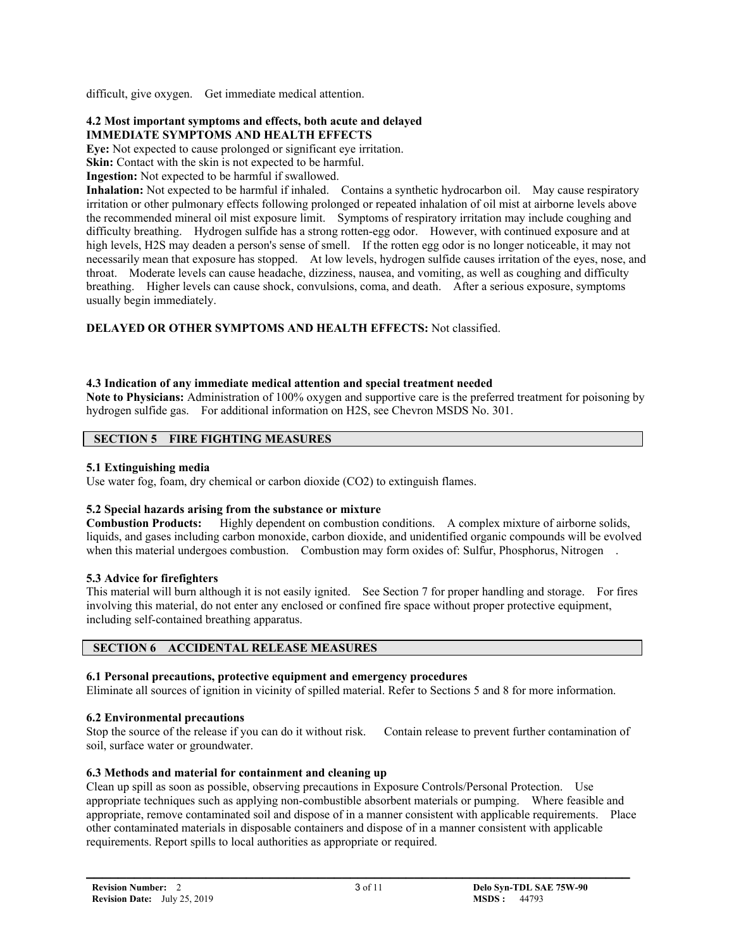difficult, give oxygen. Get immediate medical attention.

#### **4.2 Most important symptoms and effects, both acute and delayed IMMEDIATE SYMPTOMS AND HEALTH EFFECTS**

**Eve:** Not expected to cause prolonged or significant eve irritation.

**Skin:** Contact with the skin is not expected to be harmful.

**Ingestion:** Not expected to be harmful if swallowed.

**Inhalation:** Not expected to be harmful if inhaled. Contains a synthetic hydrocarbon oil. May cause respiratory irritation or other pulmonary effects following prolonged or repeated inhalation of oil mist at airborne levels above the recommended mineral oil mist exposure limit. Symptoms of respiratory irritation may include coughing and difficulty breathing. Hydrogen sulfide has a strong rotten-egg odor. However, with continued exposure and at high levels, H2S may deaden a person's sense of smell. If the rotten egg odor is no longer noticeable, it may not necessarily mean that exposure has stopped. At low levels, hydrogen sulfide causes irritation of the eyes, nose, and throat. Moderate levels can cause headache, dizziness, nausea, and vomiting, as well as coughing and difficulty breathing. Higher levels can cause shock, convulsions, coma, and death. After a serious exposure, symptoms usually begin immediately.

**DELAYED OR OTHER SYMPTOMS AND HEALTH EFFECTS:** Not classified.

# **4.3 Indication of any immediate medical attention and special treatment needed**

**Note to Physicians:** Administration of 100% oxygen and supportive care is the preferred treatment for poisoning by hydrogen sulfide gas. For additional information on H2S, see Chevron MSDS No. 301.

# **SECTION 5 FIRE FIGHTING MEASURES**

# **5.1 Extinguishing media**

Use water fog, foam, dry chemical or carbon dioxide (CO2) to extinguish flames.

# **5.2 Special hazards arising from the substance or mixture**

**Combustion Products:** Highly dependent on combustion conditions. A complex mixture of airborne solids, liquids, and gases including carbon monoxide, carbon dioxide, and unidentified organic compounds will be evolved when this material undergoes combustion. Combustion may form oxides of: Sulfur, Phosphorus, Nitrogen.

# **5.3 Advice for firefighters**

This material will burn although it is not easily ignited. See Section 7 for proper handling and storage. For fires involving this material, do not enter any enclosed or confined fire space without proper protective equipment, including self-contained breathing apparatus.

# **SECTION 6 ACCIDENTAL RELEASE MEASURES**

# **6.1 Personal precautions, protective equipment and emergency procedures**

Eliminate all sources of ignition in vicinity of spilled material. Refer to Sections 5 and 8 for more information.

# **6.2 Environmental precautions**

Stop the source of the release if you can do it without risk. Contain release to prevent further contamination of soil, surface water or groundwater.

# **6.3 Methods and material for containment and cleaning up**

Clean up spill as soon as possible, observing precautions in Exposure Controls/Personal Protection. Use appropriate techniques such as applying non-combustible absorbent materials or pumping. Where feasible and appropriate, remove contaminated soil and dispose of in a manner consistent with applicable requirements. Place other contaminated materials in disposable containers and dispose of in a manner consistent with applicable requirements. Report spills to local authorities as appropriate or required.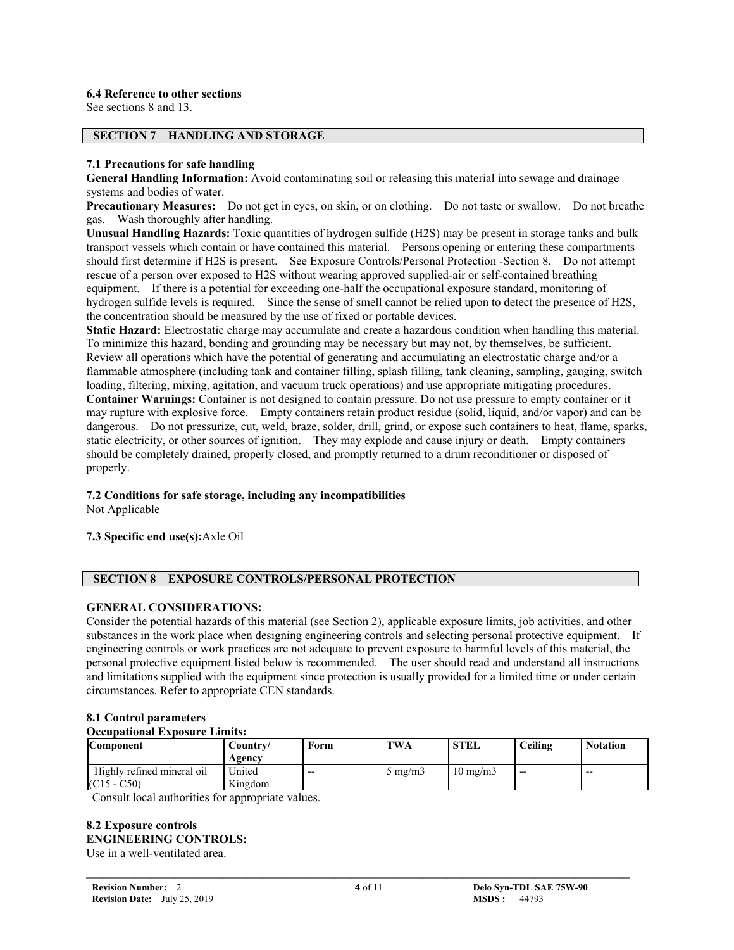#### **6.4 Reference to other sections**

See sections 8 and 13.

#### **SECTION 7 HANDLING AND STORAGE**

#### **7.1 Precautions for safe handling**

**General Handling Information:** Avoid contaminating soil or releasing this material into sewage and drainage systems and bodies of water.

**Precautionary Measures:** Do not get in eyes, on skin, or on clothing. Do not taste or swallow. Do not breathe gas. Wash thoroughly after handling.

**Unusual Handling Hazards:** Toxic quantities of hydrogen sulfide (H2S) may be present in storage tanks and bulk transport vessels which contain or have contained this material. Persons opening or entering these compartments should first determine if H2S is present. See Exposure Controls/Personal Protection -Section 8. Do not attempt rescue of a person over exposed to H2S without wearing approved supplied-air or self-contained breathing equipment. If there is a potential for exceeding one-half the occupational exposure standard, monitoring of hydrogen sulfide levels is required. Since the sense of smell cannot be relied upon to detect the presence of H2S, the concentration should be measured by the use of fixed or portable devices.

**Static Hazard:** Electrostatic charge may accumulate and create a hazardous condition when handling this material. To minimize this hazard, bonding and grounding may be necessary but may not, by themselves, be sufficient. Review all operations which have the potential of generating and accumulating an electrostatic charge and/or a flammable atmosphere (including tank and container filling, splash filling, tank cleaning, sampling, gauging, switch loading, filtering, mixing, agitation, and vacuum truck operations) and use appropriate mitigating procedures. **Container Warnings:** Container is not designed to contain pressure. Do not use pressure to empty container or it may rupture with explosive force. Empty containers retain product residue (solid, liquid, and/or vapor) and can be dangerous. Do not pressurize, cut, weld, braze, solder, drill, grind, or expose such containers to heat, flame, sparks, static electricity, or other sources of ignition. They may explode and cause injury or death. Empty containers should be completely drained, properly closed, and promptly returned to a drum reconditioner or disposed of properly.

# **7.2 Conditions for safe storage, including any incompatibilities**

Not Applicable

#### **7.3 Specific end use(s):**Axle Oil

#### **SECTION 8 EXPOSURE CONTROLS/PERSONAL PROTECTION**

#### **GENERAL CONSIDERATIONS:**

Consider the potential hazards of this material (see Section 2), applicable exposure limits, job activities, and other substances in the work place when designing engineering controls and selecting personal protective equipment. If engineering controls or work practices are not adequate to prevent exposure to harmful levels of this material, the personal protective equipment listed below is recommended. The user should read and understand all instructions and limitations supplied with the equipment since protection is usually provided for a limited time or under certain circumstances. Refer to appropriate CEN standards.

#### **8.1 Control parameters**

#### **Occupational Exposure Limits:**

| <b>Component</b>           | Countrv/ | Form  | <b>TWA</b>       | <b>STEL</b>       | Ceiling | <b>Notation</b> |
|----------------------------|----------|-------|------------------|-------------------|---------|-----------------|
|                            | Agency   |       |                  |                   |         |                 |
| Highly refined mineral oil | Jnited   | $- -$ | $5 \text{ mg/m}$ | $10 \text{ mg/m}$ | $- -$   | $- -$           |
| $(C15 - C50)$              | Kingdom  |       |                  |                   |         |                 |

Consult local authorities for appropriate values.

# **8.2 Exposure controls ENGINEERING CONTROLS:**

Use in a well-ventilated area.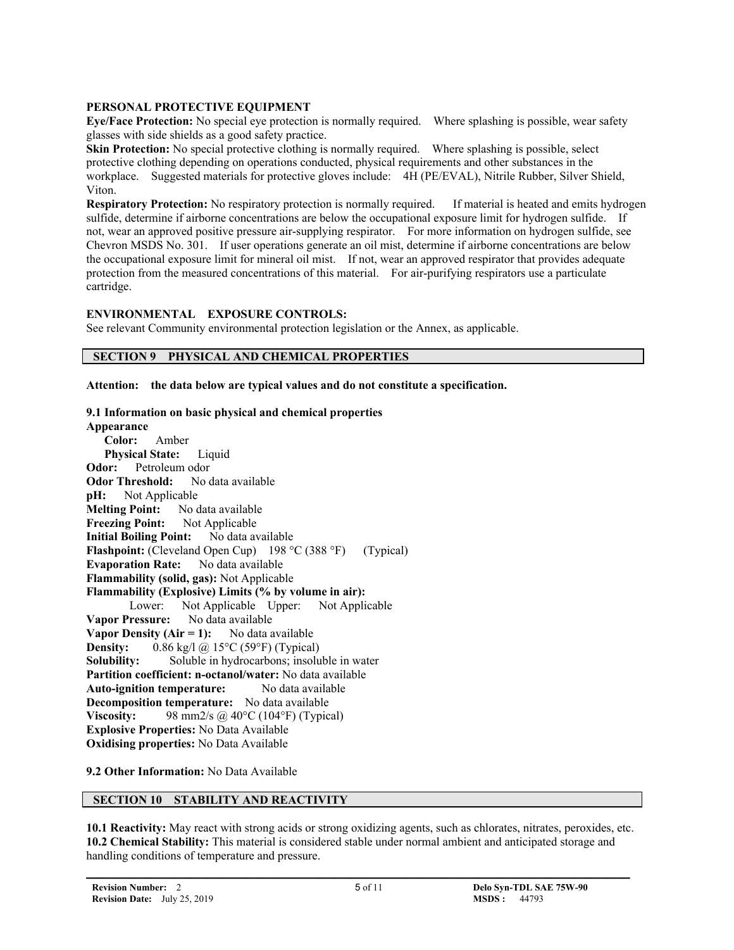#### **PERSONAL PROTECTIVE EQUIPMENT**

**Eye/Face Protection:** No special eye protection is normally required. Where splashing is possible, wear safety glasses with side shields as a good safety practice.

**Skin Protection:** No special protective clothing is normally required. Where splashing is possible, select protective clothing depending on operations conducted, physical requirements and other substances in the workplace. Suggested materials for protective gloves include: 4H (PE/EVAL), Nitrile Rubber, Silver Shield, Viton.

**Respiratory Protection:** No respiratory protection is normally required. If material is heated and emits hydrogen sulfide, determine if airborne concentrations are below the occupational exposure limit for hydrogen sulfide. If not, wear an approved positive pressure air-supplying respirator. For more information on hydrogen sulfide, see Chevron MSDS No. 301. If user operations generate an oil mist, determine if airborne concentrations are below the occupational exposure limit for mineral oil mist. If not, wear an approved respirator that provides adequate protection from the measured concentrations of this material. For air-purifying respirators use a particulate cartridge.

#### **ENVIRONMENTAL EXPOSURE CONTROLS:**

See relevant Community environmental protection legislation or the Annex, as applicable.

# **SECTION 9 PHYSICAL AND CHEMICAL PROPERTIES**

**Attention: the data below are typical values and do not constitute a specification.**

#### **9.1 Information on basic physical and chemical properties Appearance**

 **Color:** Amber  **Physical State:** Liquid **Odor:** Petroleum odor **Odor Threshold:** No data available **pH:** Not Applicable **Melting Point:** No data available **Freezing Point:** Not Applicable **Initial Boiling Point:** No data available **Flashpoint:** (Cleveland Open Cup) 198 °C (388 °F) (Typical) **Evaporation Rate:** No data available **Flammability (solid, gas):** Not Applicable **Flammability (Explosive) Limits (% by volume in air):** Lower: Not Applicable Upper: Not Applicable **Vapor Pressure:** No data available **Vapor Density (Air = 1):** No data available **Density:** 0.86 kg/l @ 15°C (59°F) (Typical) **Solubility:** Soluble in hydrocarbons; insoluble in water **Partition coefficient: n-octanol/water:** No data available **Auto-ignition temperature:** No data available **Decomposition temperature:** No data available **Viscosity:** 98 mm2/s  $\omega$  40°C (104°F) (Typical) **Explosive Properties:** No Data Available **Oxidising properties:** No Data Available

#### **9.2 Other Information:** No Data Available

# **SECTION 10 STABILITY AND REACTIVITY**

**10.1 Reactivity:** May react with strong acids or strong oxidizing agents, such as chlorates, nitrates, peroxides, etc. **10.2 Chemical Stability:** This material is considered stable under normal ambient and anticipated storage and handling conditions of temperature and pressure.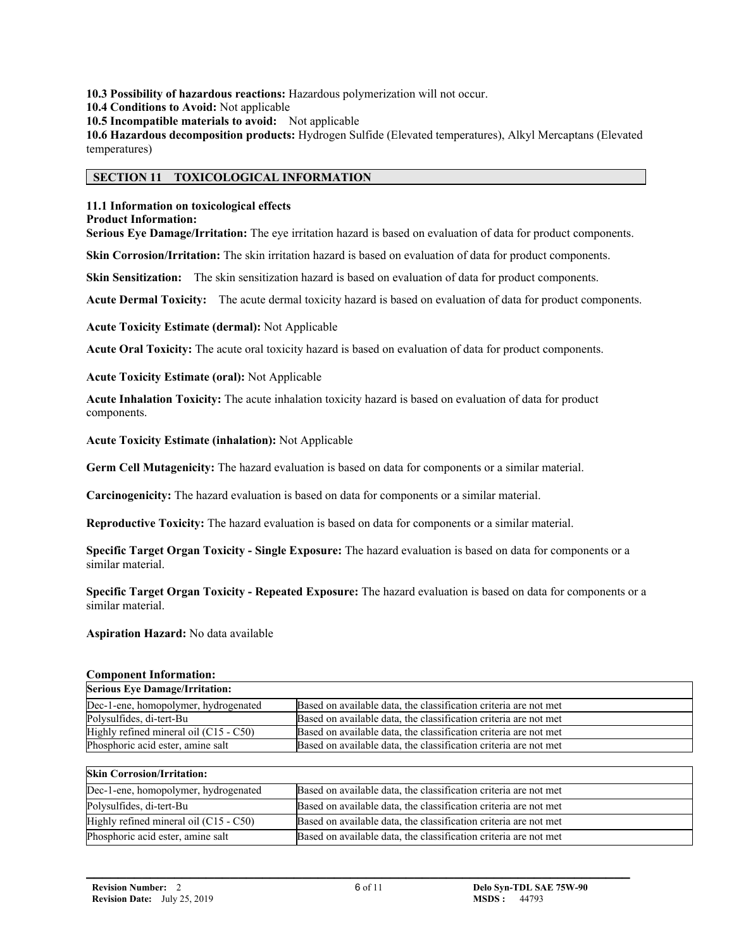**10.3 Possibility of hazardous reactions:** Hazardous polymerization will not occur.

**10.4 Conditions to Avoid:** Not applicable

**10.5 Incompatible materials to avoid:** Not applicable

**10.6 Hazardous decomposition products:** Hydrogen Sulfide (Elevated temperatures), Alkyl Mercaptans (Elevated temperatures)

#### **SECTION 11 TOXICOLOGICAL INFORMATION**

#### **11.1 Information on toxicological effects**

## **Product Information:**

**Serious Eye Damage/Irritation:** The eye irritation hazard is based on evaluation of data for product components.

**Skin Corrosion/Irritation:** The skin irritation hazard is based on evaluation of data for product components.

**Skin Sensitization:** The skin sensitization hazard is based on evaluation of data for product components.

**Acute Dermal Toxicity:** The acute dermal toxicity hazard is based on evaluation of data for product components.

**Acute Toxicity Estimate (dermal):** Not Applicable

**Acute Oral Toxicity:** The acute oral toxicity hazard is based on evaluation of data for product components.

**Acute Toxicity Estimate (oral):** Not Applicable

**Acute Inhalation Toxicity:** The acute inhalation toxicity hazard is based on evaluation of data for product components.

**Acute Toxicity Estimate (inhalation):** Not Applicable

**Germ Cell Mutagenicity:** The hazard evaluation is based on data for components or a similar material.

**Carcinogenicity:** The hazard evaluation is based on data for components or a similar material.

**Reproductive Toxicity:** The hazard evaluation is based on data for components or a similar material.

**Specific Target Organ Toxicity - Single Exposure:** The hazard evaluation is based on data for components or a similar material.

**Specific Target Organ Toxicity - Repeated Exposure:** The hazard evaluation is based on data for components or a similar material.

**Aspiration Hazard:** No data available

#### **Component Information:**

| <b>Serious Eye Damage/Irritation:</b>  |                                                                  |
|----------------------------------------|------------------------------------------------------------------|
| Dec-1-ene, homopolymer, hydrogenated   | Based on available data, the classification criteria are not met |
| Polysulfides, di-tert-Bu               | Based on available data, the classification criteria are not met |
| Highly refined mineral oil (C15 - C50) | Based on available data, the classification criteria are not met |
| Phosphoric acid ester, amine salt      | Based on available data, the classification criteria are not met |

#### **Skin Corrosion/Irritation:**

| Dec-1-ene, homopolymer, hydrogenated   | Based on available data, the classification criteria are not met |  |  |  |
|----------------------------------------|------------------------------------------------------------------|--|--|--|
| Polysulfides, di-tert-Bu               | Based on available data, the classification criteria are not met |  |  |  |
| Highly refined mineral oil (C15 - C50) | Based on available data, the classification criteria are not met |  |  |  |
| Phosphoric acid ester, amine salt      | Based on available data, the classification criteria are not met |  |  |  |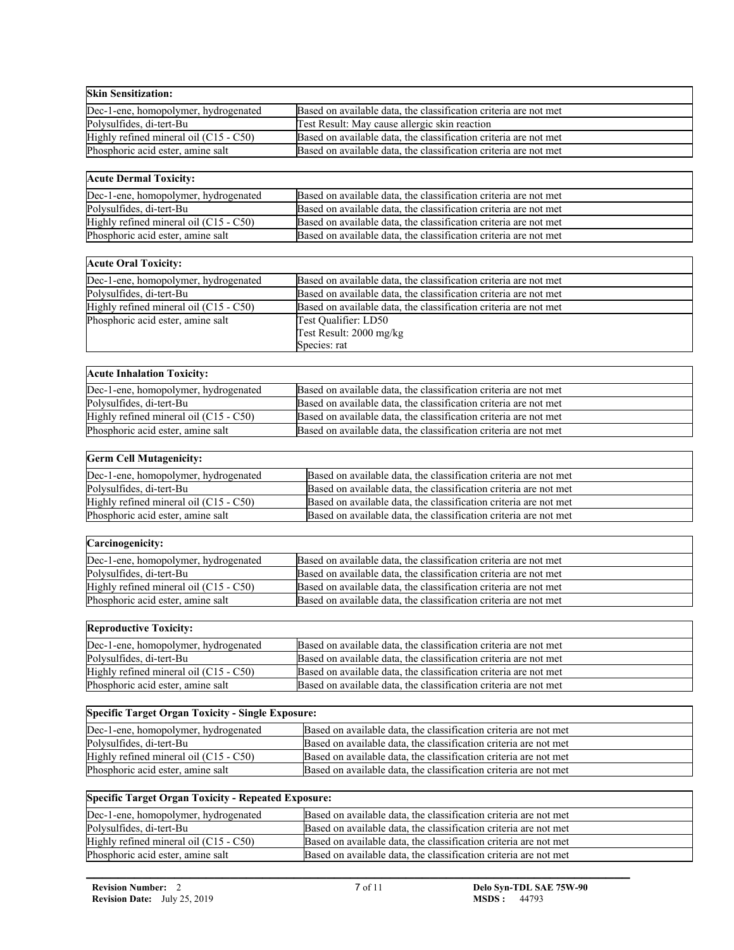| <b>Skin Sensitization:</b>                                 |                                                                  |
|------------------------------------------------------------|------------------------------------------------------------------|
| Dec-1-ene, homopolymer, hydrogenated                       | Based on available data, the classification criteria are not met |
| Polysulfides, di-tert-Bu                                   | Test Result: May cause allergic skin reaction                    |
| Highly refined mineral oil (C15 - C50)                     | Based on available data, the classification criteria are not met |
| Phosphoric acid ester, amine salt                          | Based on available data, the classification criteria are not met |
|                                                            |                                                                  |
| <b>Acute Dermal Toxicity:</b>                              |                                                                  |
| Dec-1-ene, homopolymer, hydrogenated                       | Based on available data, the classification criteria are not met |
| Polysulfides, di-tert-Bu                                   | Based on available data, the classification criteria are not met |
| Highly refined mineral oil (C15 - C50)                     | Based on available data, the classification criteria are not met |
| Phosphoric acid ester, amine salt                          | Based on available data, the classification criteria are not met |
|                                                            |                                                                  |
| <b>Acute Oral Toxicity:</b>                                |                                                                  |
| Dec-1-ene, homopolymer, hydrogenated                       | Based on available data, the classification criteria are not met |
| Polysulfides, di-tert-Bu                                   | Based on available data, the classification criteria are not met |
| Highly refined mineral oil (C15 - C50)                     | Based on available data, the classification criteria are not met |
| Phosphoric acid ester, amine salt                          | Test Qualifier: LD50<br>Test Result: 2000 mg/kg                  |
|                                                            | Species: rat                                                     |
|                                                            |                                                                  |
| <b>Acute Inhalation Toxicity:</b>                          |                                                                  |
| Dec-1-ene, homopolymer, hydrogenated                       | Based on available data, the classification criteria are not met |
| Polysulfides, di-tert-Bu                                   | Based on available data, the classification criteria are not met |
| Highly refined mineral oil (C15 - C50)                     | Based on available data, the classification criteria are not met |
| Phosphoric acid ester, amine salt                          | Based on available data, the classification criteria are not met |
|                                                            |                                                                  |
| <b>Germ Cell Mutagenicity:</b>                             |                                                                  |
| Dec-1-ene, homopolymer, hydrogenated                       | Based on available data, the classification criteria are not met |
| Polysulfides, di-tert-Bu                                   | Based on available data, the classification criteria are not met |
| Highly refined mineral oil (C15 - C50)                     | Based on available data, the classification criteria are not met |
| Phosphoric acid ester, amine salt                          | Based on available data, the classification criteria are not met |
|                                                            |                                                                  |
| Carcinogenicity:                                           |                                                                  |
| Dec-1-ene, homopolymer, hydrogenated                       | Based on available data, the classification criteria are not met |
| Polysulfides, di-tert-Bu                                   | Based on available data, the classification criteria are not met |
| Highly refined mineral oil (C15 - C50)                     | Based on available data, the classification criteria are not met |
| Phosphoric acid ester, amine salt                          | Based on available data, the classification criteria are not met |
|                                                            |                                                                  |
| <b>Reproductive Toxicity:</b>                              |                                                                  |
| Dec-1-ene, homopolymer, hydrogenated                       | Based on available data, the classification criteria are not met |
| Polysulfides, di-tert-Bu                                   | Based on available data, the classification criteria are not met |
| Highly refined mineral oil (C15 - C50)                     | Based on available data, the classification criteria are not met |
| Phosphoric acid ester, amine salt                          | Based on available data, the classification criteria are not met |
|                                                            |                                                                  |
| <b>Specific Target Organ Toxicity - Single Exposure:</b>   |                                                                  |
| Dec-1-ene, homopolymer, hydrogenated                       | Based on available data, the classification criteria are not met |
| Polysulfides, di-tert-Bu                                   | Based on available data, the classification criteria are not met |
| Highly refined mineral oil (C15 - C50)                     | Based on available data, the classification criteria are not met |
| Phosphoric acid ester, amine salt                          | Based on available data, the classification criteria are not met |
|                                                            |                                                                  |
| <b>Specific Target Organ Toxicity - Repeated Exposure:</b> |                                                                  |
| Dec-1-ene, homopolymer, hydrogenated                       | Based on available data, the classification criteria are not met |
| Polysulfides, di-tert-Bu                                   | Based on available data, the classification criteria are not met |
| Highly refined mineral oil (C15 - C50)                     | Based on available data, the classification criteria are not met |
| Phosphoric acid ester, amine salt                          | Based on available data, the classification criteria are not met |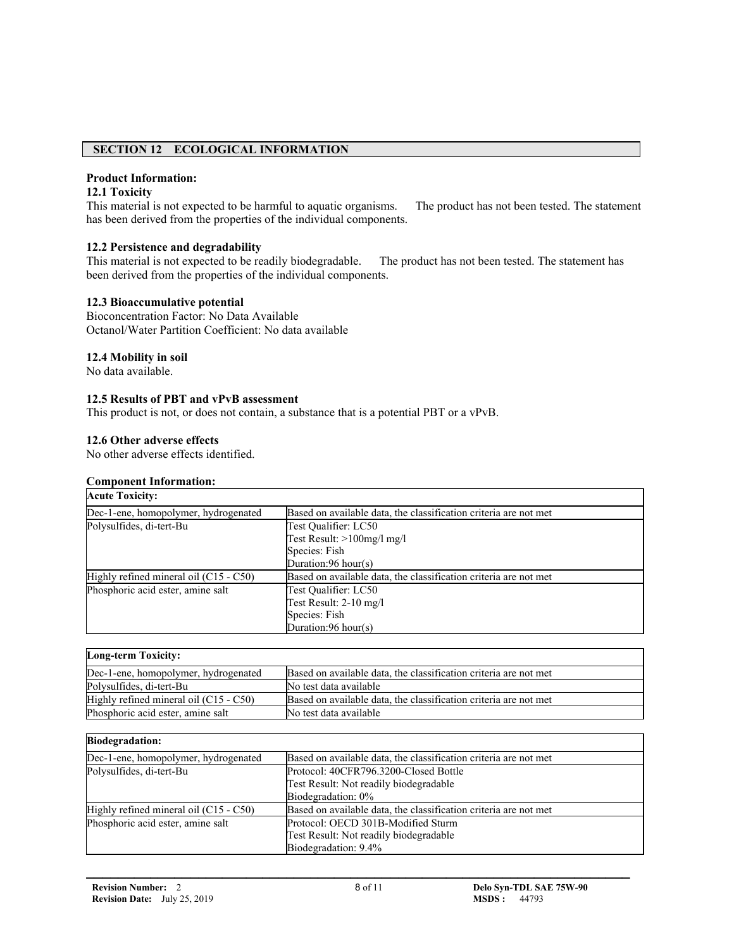## **SECTION 12 ECOLOGICAL INFORMATION**

### **Product Information:**

# **12.1 Toxicity**

This material is not expected to be harmful to aquatic organisms. The product has not been tested. The statement has been derived from the properties of the individual components.

## **12.2 Persistence and degradability**

This material is not expected to be readily biodegradable. The product has not been tested. The statement has been derived from the properties of the individual components.

#### **12.3 Bioaccumulative potential**

Bioconcentration Factor: No Data Available Octanol/Water Partition Coefficient: No data available

#### **12.4 Mobility in soil**

No data available.

#### **12.5 Results of PBT and vPvB assessment**

This product is not, or does not contain, a substance that is a potential PBT or a vPvB.

#### **12.6 Other adverse effects**

No other adverse effects identified.

#### **Component Information:**

| <b>Acute Toxicity:</b>                   |                                                                  |
|------------------------------------------|------------------------------------------------------------------|
| Dec-1-ene, homopolymer, hydrogenated     | Based on available data, the classification criteria are not met |
| Polysulfides, di-tert-Bu                 | Test Qualifier: LC50                                             |
|                                          | Test Result: $>100$ mg/l mg/l                                    |
|                                          | Species: Fish                                                    |
|                                          | Duration: $96$ hour(s)                                           |
| Highly refined mineral oil $(C15 - C50)$ | Based on available data, the classification criteria are not met |
| Phosphoric acid ester, amine salt        | Test Qualifier: LC50                                             |
|                                          | Test Result: 2-10 mg/l                                           |
|                                          | Species: Fish                                                    |
|                                          | Duration: $96$ hour(s)                                           |

| <b>Long-term Toxicity:</b>               |                                                                  |
|------------------------------------------|------------------------------------------------------------------|
| Dec-1-ene, homopolymer, hydrogenated     | Based on available data, the classification criteria are not met |
| Polysulfides, di-tert-Bu                 | No test data available                                           |
| Highly refined mineral oil $(C15 - C50)$ | Based on available data, the classification criteria are not met |
| Phosphoric acid ester, amine salt        | No test data available                                           |

| <b>Biodegradation:</b>                 |                                                                  |
|----------------------------------------|------------------------------------------------------------------|
| Dec-1-ene, homopolymer, hydrogenated   | Based on available data, the classification criteria are not met |
| Polysulfides, di-tert-Bu               | Protocol: 40CFR796.3200-Closed Bottle                            |
|                                        | Test Result: Not readily biodegradable                           |
|                                        | Biodegradation: 0%                                               |
| Highly refined mineral oil (C15 - C50) | Based on available data, the classification criteria are not met |
| Phosphoric acid ester, amine salt      | Protocol: OECD 301B-Modified Sturm                               |
|                                        | Test Result: Not readily biodegradable                           |
|                                        | Biodegradation: 9.4%                                             |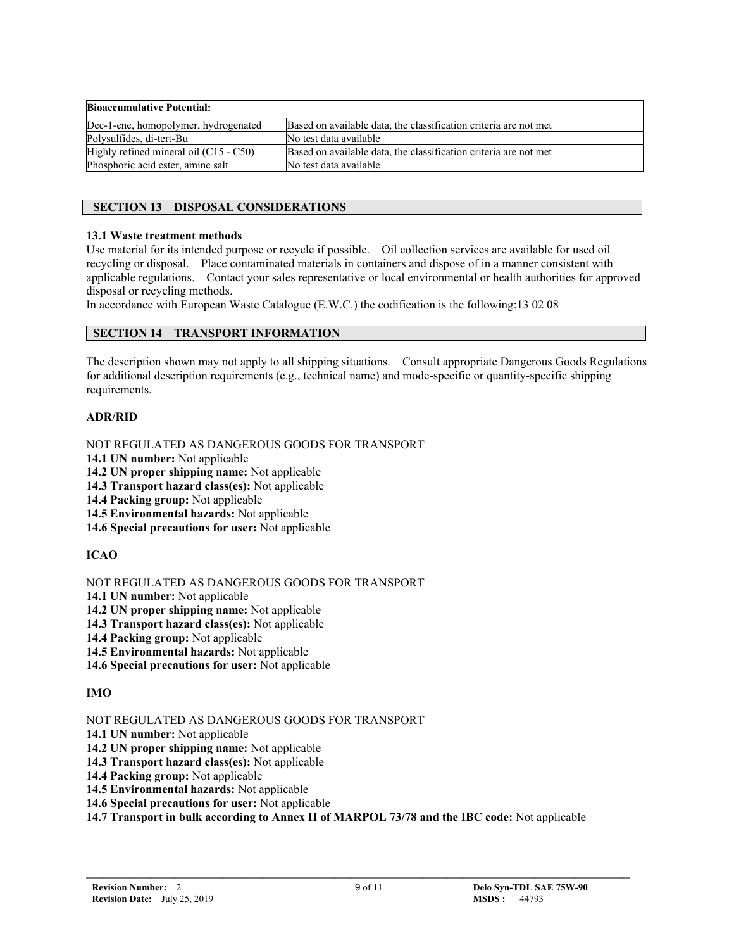| <b>Bioaccumulative Potential:</b>      |                                                                  |
|----------------------------------------|------------------------------------------------------------------|
| Dec-1-ene, homopolymer, hydrogenated   | Based on available data, the classification criteria are not met |
| Polysulfides, di-tert-Bu               | No test data available                                           |
| Highly refined mineral oil (C15 - C50) | Based on available data, the classification criteria are not met |
| Phosphoric acid ester, amine salt      | No test data available                                           |

# **SECTION 13 DISPOSAL CONSIDERATIONS**

## **13.1 Waste treatment methods**

Use material for its intended purpose or recycle if possible. Oil collection services are available for used oil recycling or disposal. Place contaminated materials in containers and dispose of in a manner consistent with applicable regulations. Contact your sales representative or local environmental or health authorities for approved disposal or recycling methods.

In accordance with European Waste Catalogue (E.W.C.) the codification is the following:13 02 08

# **SECTION 14 TRANSPORT INFORMATION**

The description shown may not apply to all shipping situations. Consult appropriate Dangerous Goods Regulations for additional description requirements (e.g., technical name) and mode-specific or quantity-specific shipping requirements.

# **ADR/RID**

NOT REGULATED AS DANGEROUS GOODS FOR TRANSPORT

- **14.1 UN number:** Not applicable
- **14.2 UN proper shipping name:** Not applicable
- **14.3 Transport hazard class(es):** Not applicable
- **14.4 Packing group:** Not applicable
- **14.5 Environmental hazards:** Not applicable
- **14.6 Special precautions for user:** Not applicable

# **ICAO**

NOT REGULATED AS DANGEROUS GOODS FOR TRANSPORT

- **14.1 UN number:** Not applicable
- **14.2 UN proper shipping name:** Not applicable
- **14.3 Transport hazard class(es):** Not applicable
- **14.4 Packing group:** Not applicable
- **14.5 Environmental hazards:** Not applicable
- **14.6 Special precautions for user:** Not applicable

# **IMO**

NOT REGULATED AS DANGEROUS GOODS FOR TRANSPORT

- **14.1 UN number:** Not applicable
- **14.2 UN proper shipping name:** Not applicable
- **14.3 Transport hazard class(es):** Not applicable
- **14.4 Packing group:** Not applicable
- **14.5 Environmental hazards:** Not applicable
- **14.6 Special precautions for user:** Not applicable

**14.7 Transport in bulk according to Annex II of MARPOL 73/78 and the IBC code:** Not applicable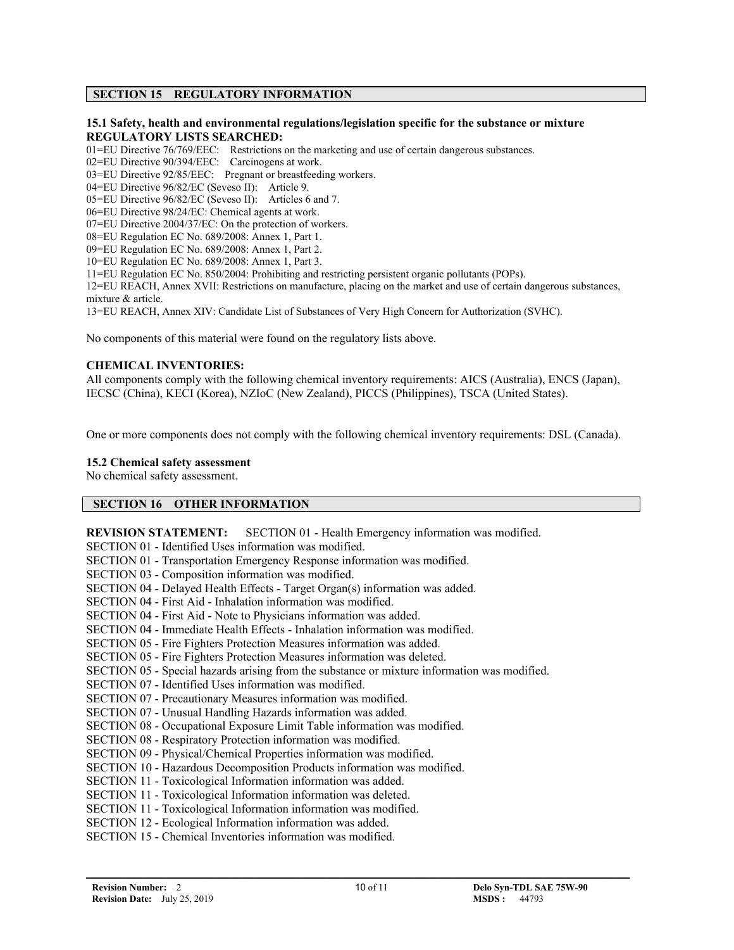# **SECTION 15 REGULATORY INFORMATION**

#### **15.1 Safety, health and environmental regulations/legislation specific for the substance or mixture REGULATORY LISTS SEARCHED:**

01=EU Directive 76/769/EEC: Restrictions on the marketing and use of certain dangerous substances.

02=EU Directive 90/394/EEC: Carcinogens at work.

03=EU Directive 92/85/EEC: Pregnant or breastfeeding workers.

04=EU Directive 96/82/EC (Seveso II): Article 9.

05=EU Directive 96/82/EC (Seveso II): Articles 6 and 7.

06=EU Directive 98/24/EC: Chemical agents at work.

07=EU Directive 2004/37/EC: On the protection of workers.

08=EU Regulation EC No. 689/2008: Annex 1, Part 1.

09=EU Regulation EC No. 689/2008: Annex 1, Part 2.

10=EU Regulation EC No. 689/2008: Annex 1, Part 3.

11=EU Regulation EC No. 850/2004: Prohibiting and restricting persistent organic pollutants (POPs).

12=EU REACH, Annex XVII: Restrictions on manufacture, placing on the market and use of certain dangerous substances, mixture & article.

13=EU REACH, Annex XIV: Candidate List of Substances of Very High Concern for Authorization (SVHC).

No components of this material were found on the regulatory lists above.

#### **CHEMICAL INVENTORIES:**

All components comply with the following chemical inventory requirements: AICS (Australia), ENCS (Japan), IECSC (China), KECI (Korea), NZIoC (New Zealand), PICCS (Philippines), TSCA (United States).

One or more components does not comply with the following chemical inventory requirements: DSL (Canada).

#### **15.2 Chemical safety assessment**

No chemical safety assessment.

#### **SECTION 16 OTHER INFORMATION**

**REVISION STATEMENT:** SECTION 01 - Health Emergency information was modified.

SECTION 01 - Identified Uses information was modified. SECTION 01 - Transportation Emergency Response information was modified. SECTION 03 - Composition information was modified. SECTION 04 - Delayed Health Effects - Target Organ(s) information was added. SECTION 04 - First Aid - Inhalation information was modified. SECTION 04 - First Aid - Note to Physicians information was added. SECTION 04 - Immediate Health Effects - Inhalation information was modified. SECTION 05 - Fire Fighters Protection Measures information was added. SECTION 05 - Fire Fighters Protection Measures information was deleted. SECTION 05 - Special hazards arising from the substance or mixture information was modified. SECTION 07 - Identified Uses information was modified. SECTION 07 - Precautionary Measures information was modified. SECTION 07 - Unusual Handling Hazards information was added. SECTION 08 - Occupational Exposure Limit Table information was modified. SECTION 08 - Respiratory Protection information was modified. SECTION 09 - Physical/Chemical Properties information was modified. SECTION 10 - Hazardous Decomposition Products information was modified. SECTION 11 - Toxicological Information information was added. SECTION 11 - Toxicological Information information was deleted. SECTION 11 - Toxicological Information information was modified. SECTION 12 - Ecological Information information was added. SECTION 15 - Chemical Inventories information was modified.